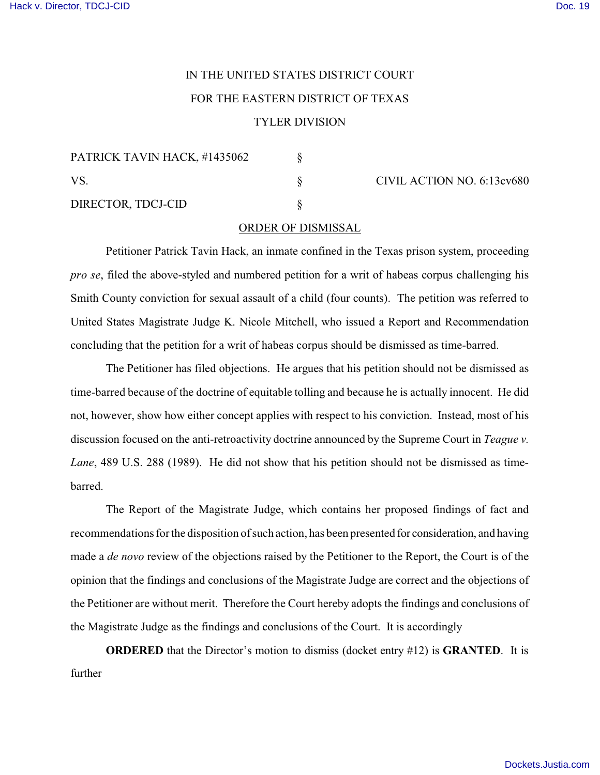## IN THE UNITED STATES DISTRICT COURT FOR THE EASTERN DISTRICT OF TEXAS TYLER DIVISION

| PATRICK TAVIN HACK, #1435062 |  |
|------------------------------|--|
| VS.                          |  |
| DIRECTOR, TDCJ-CID           |  |

 $\S$  CIVIL ACTION NO. 6:13cv680

## ORDER OF DISMISSAL

Petitioner Patrick Tavin Hack, an inmate confined in the Texas prison system, proceeding *pro se*, filed the above-styled and numbered petition for a writ of habeas corpus challenging his Smith County conviction for sexual assault of a child (four counts). The petition was referred to United States Magistrate Judge K. Nicole Mitchell, who issued a Report and Recommendation concluding that the petition for a writ of habeas corpus should be dismissed as time-barred.

The Petitioner has filed objections. He argues that his petition should not be dismissed as time-barred because of the doctrine of equitable tolling and because he is actually innocent. He did not, however, show how either concept applies with respect to his conviction. Instead, most of his discussion focused on the anti-retroactivity doctrine announced by the Supreme Court in *Teague v. Lane*, 489 U.S. 288 (1989). He did not show that his petition should not be dismissed as timebarred.

The Report of the Magistrate Judge, which contains her proposed findings of fact and recommendations for the disposition of such action, has been presented for consideration, and having made a *de novo* review of the objections raised by the Petitioner to the Report, the Court is of the opinion that the findings and conclusions of the Magistrate Judge are correct and the objections of the Petitioner are without merit. Therefore the Court hereby adopts the findings and conclusions of the Magistrate Judge as the findings and conclusions of the Court. It is accordingly

**ORDERED** that the Director's motion to dismiss (docket entry #12) is **GRANTED**. It is further